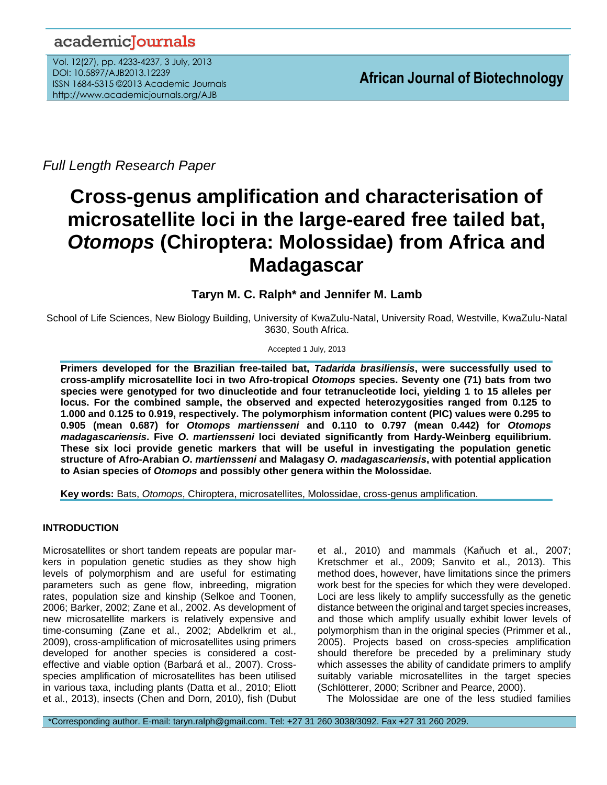## academiclournals

Vol. 12(27), pp. 4233-4237, 3 July, 2013 DOI: 10.5897/AJB2013.12239 ISSN 1684-5315 ©2013 Academic Journals http://www.academicjournals.org/AJB

*Full Length Research Paper*

# **Cross-genus amplification and characterisation of microsatellite loci in the large-eared free tailed bat,**  *Otomops* **(Chiroptera: Molossidae) from Africa and Madagascar**

### **Taryn M. C. Ralph\* and Jennifer M. Lamb**

School of Life Sciences, New Biology Building, University of KwaZulu-Natal, University Road, Westville, KwaZulu-Natal 3630, South Africa.

Accepted 1 July, 2013

**Primers developed for the Brazilian free-tailed bat,** *Tadarida brasiliensis***, were successfully used to cross-amplify microsatellite loci in two Afro-tropical** *Otomops* **species. Seventy one (71) bats from two species were genotyped for two dinucleotide and four tetranucleotide loci, yielding 1 to 15 alleles per locus. For the combined sample, the observed and expected heterozygosities ranged from 0.125 to 1.000 and 0.125 to 0.919, respectively. The polymorphism information content (PIC) values were 0.295 to 0.905 (mean 0.687) for** *Otomops martiensseni* **and 0.110 to 0.797 (mean 0.442) for** *Otomops madagascariensis***. Five** *O***.** *martiensseni* **loci deviated significantly from Hardy-Weinberg equilibrium. These six loci provide genetic markers that will be useful in investigating the population genetic structure of Afro-Arabian** *O***.** *martiensseni* **and Malagasy** *O***.** *madagascariensis***, with potential application to Asian species of** *Otomops* **and possibly other genera within the Molossidae.**

**Key words:** Bats, *Otomops*, Chiroptera, microsatellites, Molossidae, cross-genus amplification.

#### **INTRODUCTION**

Microsatellites or short tandem repeats are popular markers in population genetic studies as they show high levels of polymorphism and are useful for estimating parameters such as gene flow, inbreeding, migration rates, population size and kinship (Selkoe and Toonen, 2006; Barker, 2002; Zane et al., 2002. As development of new microsatellite markers is relatively expensive and time-consuming (Zane et al., 2002; Abdelkrim et al., 2009), cross-amplification of microsatellites using primers developed for another species is considered a costeffective and viable option (Barbará et al., 2007). Crossspecies amplification of microsatellites has been utilised in various taxa, including plants (Datta et al., 2010; Eliott et al., 2013), insects (Chen and Dorn, 2010), fish (Dubut

et al., 2010) and mammals (Kaňuch et al., 2007; Kretschmer et al., 2009; Sanvito et al., 2013). This method does, however, have limitations since the primers work best for the species for which they were developed. Loci are less likely to amplify successfully as the genetic distance between the original and target species increases, and those which amplify usually exhibit lower levels of polymorphism than in the original species (Primmer et al., 2005). Projects based on cross-species amplification should therefore be preceded by a preliminary study which assesses the ability of candidate primers to amplify suitably variable microsatellites in the target species (Schlötterer, 2000; Scribner and Pearce, 2000).

The Molossidae are one of the less studied families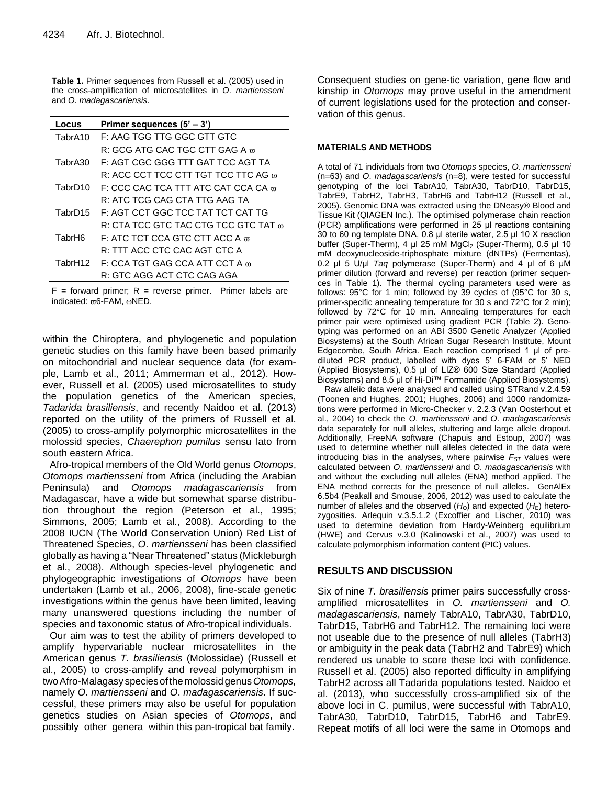**Table 1.** Primer sequences from Russell et al. (2005) used in the cross-amplification of microsatellites in *O*. *martiensseni* and *O*. *madagascariensis.*

| Locus              | Primer sequences $(5' - 3')$                     |
|--------------------|--------------------------------------------------|
| TabrA10            | F: AAG TGG TTG GGC GTT GTC                       |
|                    | R: GCG ATG CAC TGC CTT GAG A $_{\rm \varpi}$     |
| TabrA30            | F: AGT CGC GGG TTT GAT TCC AGT TA                |
|                    | R: ACC CCT TCC CTT TGT TCC TTC AG @              |
| TabrD10            | F: CCC CAC TCA TTT ATC CAT CCA CA $\overline{m}$ |
|                    | R: ATC TCG CAG CTA TTG AAG TA                    |
| TabrD15            | F: AGT CCT GGC TCC TAT TCT CAT TG                |
|                    | R: CTA TCC GTC TAC CTG TCC GTC TAT $_{\oplus}$   |
| TabrH <sub>6</sub> | F: ATC TCT CCA GTC CTT ACC A $\pi$               |
|                    | R: TTT ACC CTC CAC AGT CTC A                     |
| TabrH12            | $F: CCA TGT GAG CCA ATT CCT A \omega$            |
|                    | R: GTC AGG ACT CTC CAG AGA                       |

 $F =$  forward primer; R = reverse primer. Primer labels are indicated:  $\varpi$ 6-FAM,  $\omega$ NED.

within the Chiroptera, and phylogenetic and population genetic studies on this family have been based primarily on mitochondrial and nuclear sequence data (for example, Lamb et al., 2011; Ammerman et al., 2012). However, Russell et al. (2005) used microsatellites to study the population genetics of the American species, *Tadarida brasiliensis*, and recently Naidoo et al. (2013) reported on the utility of the primers of Russell et al. (2005) to cross-amplify polymorphic microsatellites in the molossid species, *Chaerephon pumilus* sensu lato from south eastern Africa.

Afro-tropical members of the Old World genus *Otomops*, *Otomops martiensseni* from Africa (including the Arabian Peninsula) and *Otomops madagascariensis* from Madagascar, have a wide but somewhat sparse distribution throughout the region (Peterson et al., 1995; Simmons, 2005; Lamb et al., 2008). According to the 2008 IUCN (The World Conservation Union) Red List of Threatened Species, *O*. *martiensseni* has been classified globally as having a "Near Threatened" status (Mickleburgh et al., 2008). Although species-level phylogenetic and phylogeographic investigations of *Otomops* have been undertaken (Lamb et al., 2006, 2008), fine-scale genetic investigations within the genus have been limited, leaving many unanswered questions including the number of species and taxonomic status of Afro-tropical individuals.

Our aim was to test the ability of primers developed to amplify hypervariable nuclear microsatellites in the American genus *T. brasiliensis* (Molossidae) (Russell et al., 2005) to cross-amplify and reveal polymorphism in twoAfro-Malagasy speciesofthemolossidgenus*Otomops,* namely *O. martiensseni* and *O*. *madagascariensis*. If successful, these primers may also be useful for population genetics studies on Asian species of *Otomops*, and possibly other genera within this pan-tropical bat family.

Consequent studies on gene-tic variation, gene flow and kinship in *Otomops* may prove useful in the amendment of current legislations used for the protection and conservation of this genus.

#### **MATERIALS AND METHODS**

A total of 71 individuals from two *Otomops* species, *O*. *martiensseni* (n=63) and *O*. *madagascariensis* (n=8), were tested for successful genotyping of the loci TabrA10, TabrA30, TabrD10, TabrD15, TabrE9, TabrH2, TabrH3, TabrH6 and TabrH12 (Russell et al., 2005). Genomic DNA was extracted using the DNeasy® Blood and Tissue Kit (QIAGEN Inc.). The optimised polymerase chain reaction (PCR) amplifications were performed in 25 μl reactions containing 30 to 60 ng template DNA, 0.8 μl sterile water, 2.5 μl 10 X reaction buffer (Super-Therm), 4 μl 25 mM MgCl<sub>2</sub> (Super-Therm), 0.5 μl 10 mM deoxynucleoside-triphosphate mixture (dNTPs) (Fermentas), 0.2 μl 5 U/μl *Taq* polymerase (Super-Therm) and 4 μl of 6 μM primer dilution (forward and reverse) per reaction (primer sequences in Table 1). The thermal cycling parameters used were as follows: 95°C for 1 min; followed by 39 cycles of (95°C for 30 s, primer-specific annealing temperature for 30 s and 72°C for 2 min); followed by 72°C for 10 min. Annealing temperatures for each primer pair were optimised using gradient PCR (Table 2). Genotyping was performed on an ABI 3500 Genetic Analyzer (Applied Biosystems) at the South African Sugar Research Institute, Mount Edgecombe, South Africa. Each reaction comprised 1 μl of prediluted PCR product, labelled with dyes 5' 6-FAM or 5' NED (Applied Biosystems), 0.5 μl of LIZ® 600 Size Standard (Applied Biosystems) and 8.5 μl of Hi-Di™ Formamide (Applied Biosystems).

Raw allelic data were analysed and called using STRand v.2.4.59 (Toonen and Hughes, 2001; Hughes, 2006) and 1000 randomizations were performed in Micro-Checker v. 2.2.3 (Van Oosterhout et al., 2004) to check the *O*. *martiensseni* and *O*. *madagascariensis* data separately for null alleles, stuttering and large allele dropout. Additionally, FreeNA software (Chapuis and Estoup, 2007) was used to determine whether null alleles detected in the data were introducing bias in the analyses, where pairwise  $F_{ST}$  values were calculated between *O*. *martiensseni* and *O*. *madagascariensis* with and without the excluding null alleles (ENA) method applied. The ENA method corrects for the presence of null alleles. GenAlEx 6.5b4 (Peakall and Smouse, 2006, 2012) was used to calculate the number of alleles and the observed  $(H<sub>0</sub>)$  and expected  $(H<sub>E</sub>)$  heterozygosities. Arlequin v.3.5.1.2 (Excoffier and Lischer, 2010) was used to determine deviation from Hardy-Weinberg equilibrium (HWE) and Cervus v.3.0 (Kalinowski et al., 2007) was used to calculate polymorphism information content (PIC) values.

#### **RESULTS AND DISCUSSION**

Six of nine *T. brasiliensis* primer pairs successfully crossamplified microsatellites in *O. martiensseni* and *O. madagascariensis*, namely TabrA10, TabrA30, TabrD10, TabrD15, TabrH6 and TabrH12. The remaining loci were not useable due to the presence of null alleles (TabrH3) or ambiguity in the peak data (TabrH2 and TabrE9) which rendered us unable to score these loci with confidence. Russell et al. (2005) also reported difficulty in amplifying TabrH2 across all Tadarida populations tested. Naidoo et al. (2013), who successfully cross-amplified six of the above loci in C. pumilus, were successful with TabrA10, TabrA30, TabrD10, TabrD15, TabrH6 and TabrE9. Repeat motifs of all loci were the same in Otomops and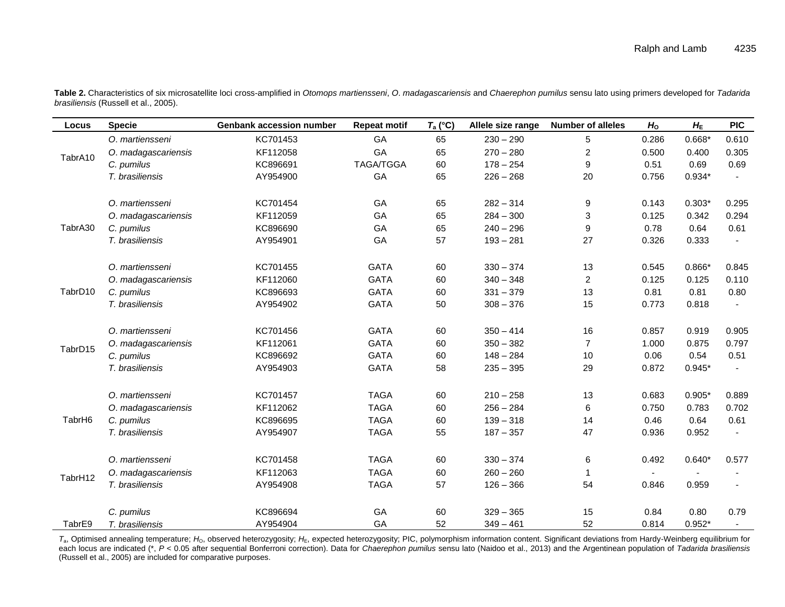| Locus   | <b>Specie</b>       | <b>Genbank accession number</b> | <b>Repeat motif</b> | $T_a$ (°C) | Allele size range | <b>Number of alleles</b> | H <sub>o</sub> | $H_{\sf E}$   | <b>PIC</b>             |
|---------|---------------------|---------------------------------|---------------------|------------|-------------------|--------------------------|----------------|---------------|------------------------|
| TabrA10 | O. martiensseni     | KC701453                        | GA                  | 65         | $230 - 290$       | 5                        | 0.286          | $0.668*$      | 0.610                  |
|         | O. madagascariensis | KF112058                        | GA                  | 65         | $270 - 280$       | $\overline{c}$           | 0.500          | 0.400         | 0.305                  |
|         | C. pumilus          | KC896691                        | <b>TAGA/TGGA</b>    | 60         | $178 - 254$       | 9                        | 0.51           | 0.69          | 0.69                   |
|         | T. brasiliensis     | AY954900                        | GA                  | 65         | $226 - 268$       | 20                       | 0.756          | $0.934*$      |                        |
|         |                     |                                 |                     |            |                   |                          |                |               |                        |
| TabrA30 | O. martiensseni     | KC701454                        | GA                  | 65         | $282 - 314$       | 9                        | 0.143          | $0.303*$      | 0.295                  |
|         | O. madagascariensis | KF112059                        | GA                  | 65         | $284 - 300$       | 3                        | 0.125          | 0.342         | 0.294                  |
|         | C. pumilus          | KC896690                        | GA                  | 65         | $240 - 296$       | 9                        | 0.78           | 0.64          | 0.61                   |
|         | T. brasiliensis     | AY954901                        | GA                  | 57         | $193 - 281$       | 27                       | 0.326          | 0.333         |                        |
|         |                     |                                 |                     |            |                   |                          |                |               |                        |
| TabrD10 | O. martiensseni     | KC701455                        | <b>GATA</b>         | 60         | $330 - 374$       | 13                       | 0.545          | $0.866*$      | 0.845                  |
|         | O. madagascariensis | KF112060                        | <b>GATA</b>         | 60         | $340 - 348$       | $\overline{2}$           | 0.125          | 0.125         | 0.110                  |
|         | C. pumilus          | KC896693                        | <b>GATA</b>         | 60         | $331 - 379$       | 13                       | 0.81           | 0.81          | 0.80                   |
|         | T. brasiliensis     | AY954902                        | <b>GATA</b>         | 50         | $308 - 376$       | 15                       | 0.773          | 0.818         |                        |
| TabrD15 | O. martiensseni     | KC701456                        | <b>GATA</b>         | 60         | $350 - 414$       | 16                       | 0.857          | 0.919         | 0.905                  |
|         |                     |                                 | <b>GATA</b>         |            |                   | $\overline{7}$           |                |               |                        |
|         | O. madagascariensis | KF112061                        | <b>GATA</b>         | 60         | $350 - 382$       |                          | 1.000<br>0.06  | 0.875<br>0.54 | 0.797                  |
|         | C. pumilus          | KC896692                        |                     | 60         | $148 - 284$       | 10                       |                |               | 0.51<br>$\overline{a}$ |
|         | T. brasiliensis     | AY954903                        | <b>GATA</b>         | 58         | $235 - 395$       | 29                       | 0.872          | $0.945*$      |                        |
|         | O. martiensseni     | KC701457                        | <b>TAGA</b>         | 60         | $210 - 258$       | 13                       | 0.683          | $0.905*$      | 0.889                  |
| TabrH6  | O. madagascariensis | KF112062                        | <b>TAGA</b>         | 60         | $256 - 284$       | 6                        | 0.750          | 0.783         | 0.702                  |
|         | C. pumilus          | KC896695                        | <b>TAGA</b>         | 60         | $139 - 318$       | 14                       | 0.46           | 0.64          | 0.61                   |
|         | T. brasiliensis     | AY954907                        | <b>TAGA</b>         | 55         | $187 - 357$       | 47                       | 0.936          | 0.952         |                        |
|         |                     |                                 |                     |            |                   |                          |                |               |                        |
| TabrH12 | O. martiensseni     | KC701458                        | <b>TAGA</b>         | 60         | $330 - 374$       | 6                        | 0.492          | $0.640*$      | 0.577                  |
|         | O. madagascariensis | KF112063                        | <b>TAGA</b>         | 60         | $260 - 260$       | 1                        |                |               |                        |
|         | T. brasiliensis     | AY954908                        | <b>TAGA</b>         | 57         | $126 - 366$       | 54                       | 0.846          | 0.959         |                        |
|         | C. pumilus          | KC896694                        | GA                  | 60         | $329 - 365$       | 15                       | 0.84           | 0.80          | 0.79                   |
| TabrE9  | T. brasiliensis     | AY954904                        | GA                  | 52         | $349 - 461$       | 52                       | 0.814          | $0.952*$      | $\blacksquare$         |

Table 2. Characteristics of six microsatellite loci cross-amplified in Otomops martiensseni, O. madagascariensis and Chaerephon pumilus sensu lato using primers developed for Tadarida *brasiliensis* (Russell et al., 2005).

*T*a, Optimised annealing temperature; *H*O, observed heterozygosity; *H*E, expected heterozygosity; PIC, polymorphism information content. Significant deviations from Hardy-Weinberg equilibrium for each locus are indicated (\*, *P* < 0.05 after sequential Bonferroni correction). Data for *Chaerephon pumilus* sensu lato (Naidoo et al., 2013) and the Argentinean population of *Tadarida brasiliensis* (Russell et al., 2005) are included for comparative purposes.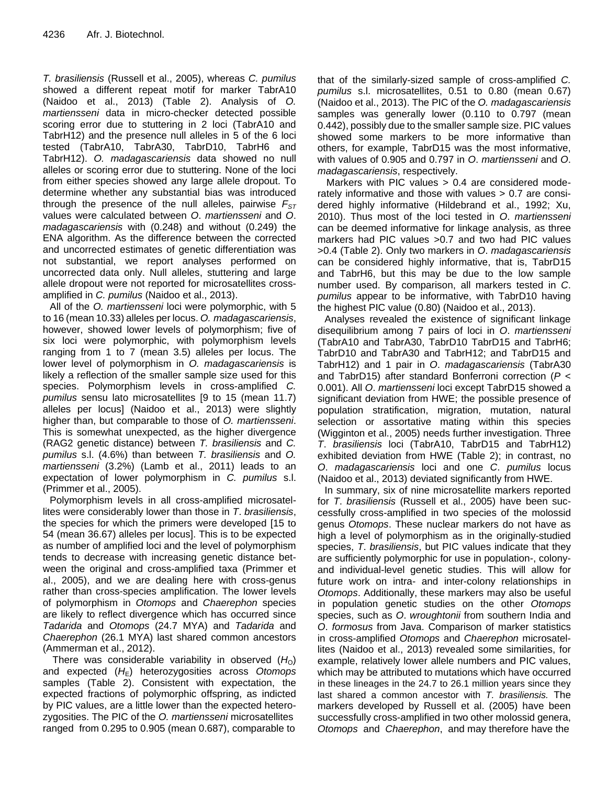*T. brasiliensis* (Russell et al., 2005), whereas *C. pumilus* showed a different repeat motif for marker TabrA10 (Naidoo et al., 2013) (Table 2). Analysis of *O. martiensseni* data in micro-checker detected possible scoring error due to stuttering in 2 loci (TabrA10 and TabrH12) and the presence null alleles in 5 of the 6 loci tested (TabrA10, TabrA30, TabrD10, TabrH6 and TabrH12). *O. madagascariensis* data showed no null alleles or scoring error due to stuttering. None of the loci from either species showed any large allele dropout. To determine whether any substantial bias was introduced through the presence of the null alleles, pairwise  $F_{\text{ST}}$ values were calculated between *O*. *martiensseni* and *O*. *madagascariensis* with (0.248) and without (0.249) the ENA algorithm. As the difference between the corrected and uncorrected estimates of genetic differentiation was not substantial, we report analyses performed on uncorrected data only. Null alleles, stuttering and large allele dropout were not reported for microsatellites crossamplified in *C. pumilus* (Naidoo et al., 2013).

All of the *O. martiensseni* loci were polymorphic, with 5 to 16 (mean 10.33) alleles per locus. *O. madagascariensis*, however, showed lower levels of polymorphism; five of six loci were polymorphic, with polymorphism levels ranging from 1 to 7 (mean 3.5) alleles per locus. The lower level of polymorphism in *O. madagascariensis* is likely a reflection of the smaller sample size used for this species. Polymorphism levels in cross-amplified *C. pumilus* sensu lato microsatellites [9 to 15 (mean 11.7) alleles per locus] (Naidoo et al., 2013) were slightly higher than, but comparable to those of *O. martiensseni*. This is somewhat unexpected, as the higher divergence (RAG2 genetic distance) between *T. brasiliensis* and *C. pumilus* s.l. (4.6%) than between *T. brasiliensis* and *O. martiensseni* (3.2%) (Lamb et al., 2011) leads to an expectation of lower polymorphism in *C. pumilus* s.l. (Primmer et al., 2005).

Polymorphism levels in all cross-amplified microsatellites were considerably lower than those in *T*. *brasiliensis*, the species for which the primers were developed [15 to 54 (mean 36.67) alleles per locus]. This is to be expected as number of amplified loci and the level of polymorphism tends to decrease with increasing genetic distance between the original and cross-amplified taxa (Primmer et al., 2005), and we are dealing here with cross-genus rather than cross-species amplification. The lower levels of polymorphism in *Otomops* and *Chaerephon* species are likely to reflect divergence which has occurred since *Tadarida* and *Otomops* (24.7 MYA) and *Tadarida* and *Chaerephon* (26.1 MYA) last shared common ancestors (Ammerman et al., 2012).

There was considerable variability in observed  $(H<sub>0</sub>)$ and expected  $(H<sub>E</sub>)$  heterozygosities across Otomops samples (Table 2). Consistent with expectation, the expected fractions of polymorphic offspring, as indicted by PIC values, are a little lower than the expected heterozygosities. The PIC of the *O. martiensseni* microsatellites ranged from 0.295 to 0.905 (mean 0.687), comparable to that of the similarly-sized sample of cross-amplified *C. pumilus* s.l. microsatellites, 0.51 to 0.80 (mean 0.67) (Naidoo et al., 2013). The PIC of the *O. madagascariensis* samples was generally lower (0.110 to 0.797 (mean 0.442), possibly due to the smaller sample size. PIC values showed some markers to be more informative than others, for example, TabrD15 was the most informative, with values of 0.905 and 0.797 in *O*. *martiensseni* and *O*. *madagascariensis*, respectively.

Markers with PIC values > 0.4 are considered moderately informative and those with values > 0.7 are considered highly informative (Hildebrand et al., 1992; Xu, 2010). Thus most of the loci tested in *O*. *martiensseni* can be deemed informative for linkage analysis, as three markers had PIC values >0.7 and two had PIC values >0.4 (Table 2). Only two markers in *O*. *madagascariensis* can be considered highly informative, that is, TabrD15 and TabrH6, but this may be due to the low sample number used. By comparison, all markers tested in *C*. *pumilus* appear to be informative, with TabrD10 having the highest PIC value (0.80) (Naidoo et al., 2013).

Analyses revealed the existence of significant linkage disequilibrium among 7 pairs of loci in *O*. *martiensseni* (TabrA10 and TabrA30, TabrD10 TabrD15 and TabrH6; TabrD10 and TabrA30 and TabrH12; and TabrD15 and TabrH12) and 1 pair in *O*. *madagascariensis* (TabrA30 and TabrD15) after standard Bonferroni correction (*P* < 0.001). All *O*. *martiensseni* loci except TabrD15 showed a significant deviation from HWE; the possible presence of population stratification, migration, mutation, natural selection or assortative mating within this species (Wigginton et al., 2005) needs further investigation. Three *T*. *brasiliensis* loci (TabrA10, TabrD15 and TabrH12) exhibited deviation from HWE (Table 2); in contrast, no *O*. *madagascariensis* loci and one *C*. *pumilus* locus (Naidoo et al., 2013) deviated significantly from HWE.

In summary, six of nine microsatellite markers reported for *T*. *brasiliensis* (Russell et al., 2005) have been successfully cross-amplified in two species of the molossid genus *Otomops*. These nuclear markers do not have as high a level of polymorphism as in the originally-studied species, *T*. *brasiliensis*, but PIC values indicate that they are sufficiently polymorphic for use in population-, colonyand individual-level genetic studies. This will allow for future work on intra- and inter-colony relationships in *Otomops*. Additionally, these markers may also be useful in population genetic studies on the other *Otomops* species, such as *O*. *wroughtonii* from southern India and *O*. *formosus* from Java. Comparison of marker statistics in cross-amplified *Otomops* and *Chaerephon* microsatellites (Naidoo et al., 2013) revealed some similarities, for example, relatively lower allele numbers and PIC values, which may be attributed to mutations which have occurred in these lineages in the 24.7 to 26.1 million years since they last shared a common ancestor with *T. brasiliensis.* The markers developed by Russell et al. (2005) have been successfully cross-amplified in two other molossid genera, *Otomops* and *Chaerephon*, and may therefore have the